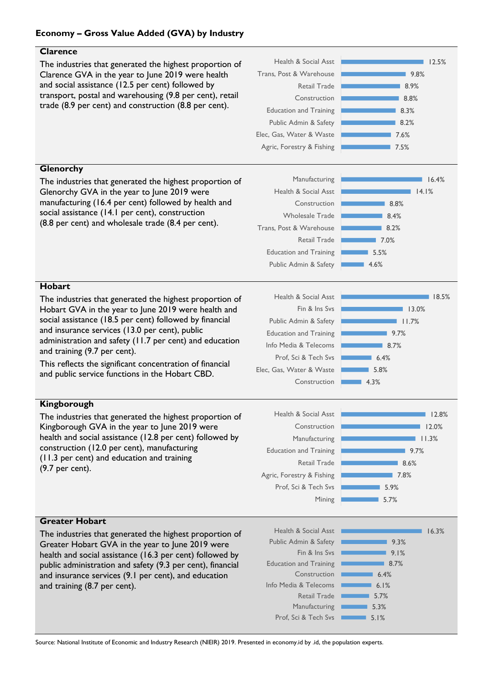## **Economy – Gross Value Added (GVA) by Industry**

## **Clarence** The industries that generated the highest proportion of Clarence GVA in the year to June 2019 were health and social assistance (12.5 per cent) followed by transport, postal and warehousing (9.8 per cent), retail trade (8.9 per cent) and construction (8.8 per cent). **Glenorchy**  The industries that generated the highest proportion of Glenorchy GVA in the year to June 2019 were manufacturing (16.4 per cent) followed by health and social assistance (14.1 per cent), construction (8.8 per cent) and wholesale trade (8.4 per cent). **Hobart** The industries that generated the highest proportion of Hobart GVA in the year to June 2019 were health and social assistance (18.5 per cent) followed by financial and insurance services (13.0 per cent), public administration and safety (11.7 per cent) and education and training (9.7 per cent). This reflects the significant concentration of financial and public service functions in the Hobart CBD. **Kingborough**  The industries that generated the highest proportion of Kingborough GVA in the year to June 2019 were health and social assistance (12.8 per cent) followed by construction (12.0 per cent), manufacturing (11.3 per cent) and education and training (9.7 per cent). **Greater Hobart** The industries that generated the highest proportion of Greater Hobart GVA in the year to June 2019 were health and social assistance (16.3 per cent) followed by public administration and safety (9.3 per cent), financial and insurance services (9.1 per cent), and education and training (8.7 per cent). 7.5% 7.6% 8.2% 8.3% 8.8% 8.9% ■ 9.8% 12.5% Agric, Forestry & Fishing Elec, Gas, Water & Waste Public Admin & Safety Education and Training Construction Retail Trade Trans, Post & Warehouse Health & Social Asst  $-4.6%$  $5.5%$ 7.0% 8.2% 8.4% 8.8% 14.1% 16.4% Public Admin & Safety Education and Training Retail Trade Trans, Post & Warehouse Wholesale Trade Construction Health & Social Asst Manufacturing 4.3% 5.8%  $6.4%$ 8.7% 9.7%  $11.7%$  $13.0%$ 18.5% Construction Elec, Gas, Water & Waste Prof, Sci & Tech Svs Info Media & Telecoms Education and Training Public Admin & Safety Fin & Ins Svs Health & Social Asst 5.7% 5.9% 7.8% 8.6% 9.7% 11.3% 12.0% 12.8% Mining Prof, Sci & Tech Svs Agric, Forestry & Fishing Retail Trade Education and Training Manufacturing Construction Health & Social Asst  $-5.1%$ ■ 5.3%  $-5.7\%$ 6.1% 6.4% **8.7%**  $9.1%$ ■ 9.3% 16.3% Prof, Sci & Tech Svs Manufacturing  $\blacksquare$ Retail Trade Info Media & Telecoms Construction Education and Training Fin & Ins Svs Public Admin & Safety Health & Social Asst

Source: National Institute of Economic and Industry Research (NIEIR) 2019. Presented in economy.id by .id, the population experts.